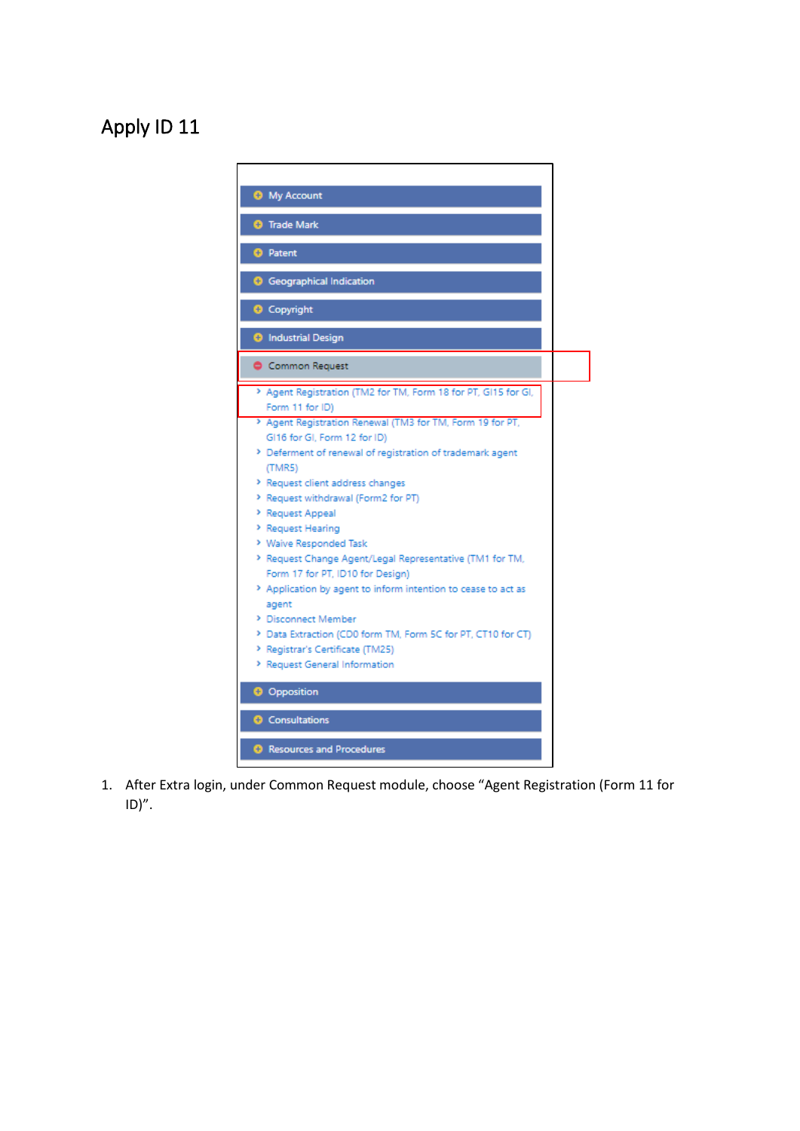## Apply ID 11



1. After Extra login, under Common Request module, choose "Agent Registration (Form 11 for  $ID)''$ .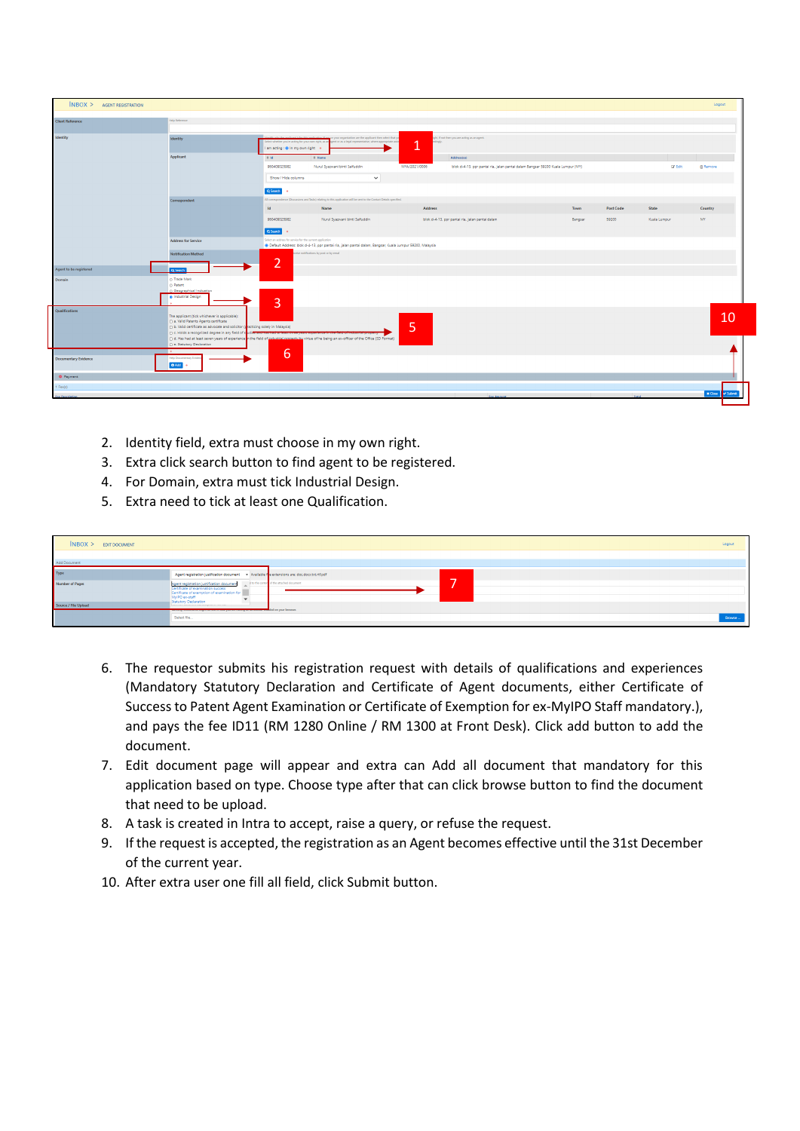|                                           | $N$ BOX $>$ AGENT REGISTRATION |                                                                                                                                                                                                         |                                                                                                                                                                      |                                                                                                                   |               |                                                                                 |         |           |                 | Logout          |  |
|-------------------------------------------|--------------------------------|---------------------------------------------------------------------------------------------------------------------------------------------------------------------------------------------------------|----------------------------------------------------------------------------------------------------------------------------------------------------------------------|-------------------------------------------------------------------------------------------------------------------|---------------|---------------------------------------------------------------------------------|---------|-----------|-----------------|-----------------|--|
|                                           |                                |                                                                                                                                                                                                         |                                                                                                                                                                      |                                                                                                                   |               |                                                                                 |         |           |                 |                 |  |
| Help Reference<br><b>Client Reference</b> |                                |                                                                                                                                                                                                         |                                                                                                                                                                      |                                                                                                                   |               |                                                                                 |         |           |                 |                 |  |
|                                           |                                |                                                                                                                                                                                                         |                                                                                                                                                                      |                                                                                                                   |               |                                                                                 |         |           |                 |                 |  |
| Identity                                  |                                | <b>Identity</b>                                                                                                                                                                                         | Select whether you're acting for your own right, as a<br>I am acting : @ In my own right                                                                             | your organisation are the applicant then select that yo<br>it or as a legal representative, where appropriate ack | April 19<br>ø | ight, if not then you are acting as an agent.                                   |         |           |                 |                 |  |
|                                           |                                | Applicant                                                                                                                                                                                               | $0$ <b>Id</b>                                                                                                                                                        | 0 Name                                                                                                            |               | Address(es)                                                                     |         |           |                 |                 |  |
|                                           |                                |                                                                                                                                                                                                         | 960409025982                                                                                                                                                         | Nurul Syazwani binti Saifuddin                                                                                    | MYA/2021/0006 | blok d-4-13, ppr pantai ria, jalan pantai dalam Bangsar 59200 Kuala Lumpur (MY) |         |           | <b>Cif</b> Edit | <b>B</b> Remove |  |
|                                           |                                |                                                                                                                                                                                                         | Show / Hide columns                                                                                                                                                  | $\checkmark$                                                                                                      |               |                                                                                 |         |           |                 |                 |  |
|                                           |                                |                                                                                                                                                                                                         | Q Search                                                                                                                                                             |                                                                                                                   |               |                                                                                 |         |           |                 |                 |  |
|                                           |                                | Correspondent                                                                                                                                                                                           | All correspondence (Discussions and Tasks) relating to this application will be sent to the Contact Details specified.                                               |                                                                                                                   |               |                                                                                 |         |           |                 |                 |  |
|                                           |                                |                                                                                                                                                                                                         | <b>Id</b>                                                                                                                                                            | Name                                                                                                              | Address       |                                                                                 | Town    | Post Code | State           | Country         |  |
|                                           |                                |                                                                                                                                                                                                         | 960409025982                                                                                                                                                         | Nurul Syazwani binti Saifuddin                                                                                    |               | blok d-4-13, ppr pantai ria, jalan pantai dalam                                 | Bangsar | 59200     | Kuala Lumpur    | MY.             |  |
|                                           |                                |                                                                                                                                                                                                         | Q Search<br>$\bullet$                                                                                                                                                |                                                                                                                   |               |                                                                                 |         |           |                 |                 |  |
|                                           |                                | <b>Address for Service</b>                                                                                                                                                                              | Select an address for service for the current application<br>Default Address: blok d-4-13, ppr pantai ria, jalan pantai dalam, Bangsar, Kuala Lumpur 59200, Malaysia |                                                                                                                   |               |                                                                                 |         |           |                 |                 |  |
|                                           |                                | <b>Notification Method</b>                                                                                                                                                                              | $\overline{2}$                                                                                                                                                       | eceive notifications by post or by email                                                                          |               |                                                                                 |         |           |                 |                 |  |
| Agent to be registered<br>Q Search        |                                |                                                                                                                                                                                                         |                                                                                                                                                                      |                                                                                                                   |               |                                                                                 |         |           |                 |                 |  |
| Domain                                    |                                | O Trade Mark<br>O Patent                                                                                                                                                                                |                                                                                                                                                                      |                                                                                                                   |               |                                                                                 |         |           |                 |                 |  |
|                                           |                                | ○ Geographical Indication                                                                                                                                                                               |                                                                                                                                                                      |                                                                                                                   |               |                                                                                 |         |           |                 |                 |  |
|                                           |                                | @ Industrial Design                                                                                                                                                                                     | 3                                                                                                                                                                    |                                                                                                                   |               |                                                                                 |         |           |                 |                 |  |
| <b>Qualifications</b>                     |                                |                                                                                                                                                                                                         |                                                                                                                                                                      |                                                                                                                   |               |                                                                                 |         |           |                 |                 |  |
|                                           |                                | The applicant (tick whichever is applicable):<br>a. Valid Patents Agents certificate                                                                                                                    |                                                                                                                                                                      |                                                                                                                   |               |                                                                                 |         |           |                 | 10              |  |
|                                           |                                | (1) b. Valid certificate as advocate and solicitor (practicing solely in Malaysia)                                                                                                                      |                                                                                                                                                                      |                                                                                                                   | 5             |                                                                                 |         |           |                 |                 |  |
|                                           |                                | C c. Holds a recognized degree in any field of s<br>[1] d. Has had at least seven years of experience in the field of industrial nonnerty by virtue of he being an ex-officer of the Office (SD Format) |                                                                                                                                                                      |                                                                                                                   |               |                                                                                 |         |           |                 |                 |  |
|                                           |                                | e. Statutory Declaration                                                                                                                                                                                |                                                                                                                                                                      |                                                                                                                   |               |                                                                                 |         |           |                 |                 |  |
|                                           | <b>Documentary Evidence</b>    | Help Documentary Evil                                                                                                                                                                                   | 6                                                                                                                                                                    |                                                                                                                   |               |                                                                                 |         |           |                 |                 |  |
|                                           |                                | O Add   o                                                                                                                                                                                               |                                                                                                                                                                      |                                                                                                                   |               |                                                                                 |         |           |                 |                 |  |
|                                           | · Payment                      |                                                                                                                                                                                                         |                                                                                                                                                                      |                                                                                                                   |               |                                                                                 |         |           |                 |                 |  |
| $1 \text{Fee}(s)$                         |                                |                                                                                                                                                                                                         |                                                                                                                                                                      |                                                                                                                   |               |                                                                                 |         |           |                 |                 |  |
| <b>Fee Description</b>                    |                                |                                                                                                                                                                                                         |                                                                                                                                                                      |                                                                                                                   |               | Fee Amount                                                                      |         | Total     |                 | x Gose v Submit |  |
|                                           |                                |                                                                                                                                                                                                         |                                                                                                                                                                      |                                                                                                                   |               |                                                                                 |         |           |                 |                 |  |

- 2. Identity field, extra must choose in my own right.
- 3. Extra click search button to find agent to be registered.
- 4. For Domain, extra must tick Industrial Design.
- 5. Extra need to tick at least one Qualification.

| $INBOX$ > EDIT DOCUMENT |                                                                                                                                                                                                                            | Logout |  |  |  |  |  |
|-------------------------|----------------------------------------------------------------------------------------------------------------------------------------------------------------------------------------------------------------------------|--------|--|--|--|--|--|
|                         |                                                                                                                                                                                                                            |        |  |  |  |  |  |
| Add Document            |                                                                                                                                                                                                                            |        |  |  |  |  |  |
| Type                    | Agent registration justification document - Available for extensions are: doc.docx.txt.rtf.pdf                                                                                                                             |        |  |  |  |  |  |
| Number of Pages         | _<br>d to the conter of the attached document<br>Agent registration justification document<br>Certificate of examination success<br>Certificate of exemption of examination for<br>MyIPO ex-staff<br>Statutory Declaration |        |  |  |  |  |  |
| Source / File Upload    | the contract of the contract of the contract of the contract of the contract of<br><b>The company of the company of the company por the interior property of the company of the company of the company</b>                 |        |  |  |  |  |  |
|                         | Select file                                                                                                                                                                                                                |        |  |  |  |  |  |

- 6. The requestor submits his registration request with details of qualifications and experiences (Mandatory Statutory Declaration and Certificate of Agent documents, either Certificate of Success to Patent Agent Examination or Certificate of Exemption for ex-MyIPO Staff mandatory.), and pays the fee ID11 (RM 1280 Online / RM 1300 at Front Desk). Click add button to add the document.
- 7. Edit document page will appear and extra can Add all document that mandatory for this application based on type. Choose type after that can click browse button to find the document that need to be upload.
- 8. A task is created in Intra to accept, raise a query, or refuse the request.
- 9. If the request is accepted, the registration as an Agent becomes effective until the 31st December of the current year.
- 10. After extra user one fill all field, click Submit button.